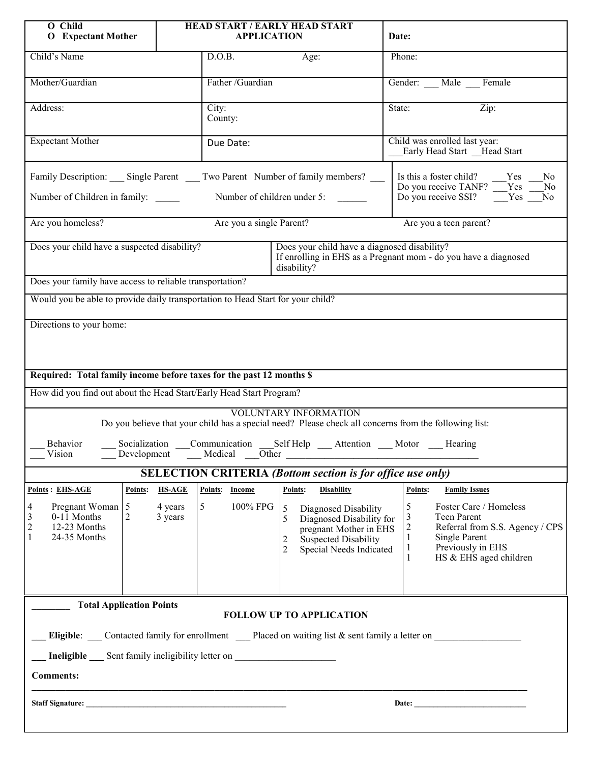| O Child<br><b>O</b> Expectant Mother                                                                                                                                                                                                                                                                                                                                                                           |                                                | HEAD START / EARLY HEAD START<br><b>APPLICATION</b>                                                                            |                                                                    |                                                                                                                                                    | Date:                                              |                                                                                                                                                                         |  |
|----------------------------------------------------------------------------------------------------------------------------------------------------------------------------------------------------------------------------------------------------------------------------------------------------------------------------------------------------------------------------------------------------------------|------------------------------------------------|--------------------------------------------------------------------------------------------------------------------------------|--------------------------------------------------------------------|----------------------------------------------------------------------------------------------------------------------------------------------------|----------------------------------------------------|-------------------------------------------------------------------------------------------------------------------------------------------------------------------------|--|
| Child's Name                                                                                                                                                                                                                                                                                                                                                                                                   |                                                | D.O.B.                                                                                                                         | Age:                                                               |                                                                                                                                                    | Phone:                                             |                                                                                                                                                                         |  |
| Mother/Guardian                                                                                                                                                                                                                                                                                                                                                                                                |                                                | Father /Guardian                                                                                                               |                                                                    |                                                                                                                                                    | Gender: Male Female                                |                                                                                                                                                                         |  |
| Address:                                                                                                                                                                                                                                                                                                                                                                                                       |                                                | City:<br>County:                                                                                                               |                                                                    |                                                                                                                                                    | $\overline{\mathrm{Zip:}}$<br>State:               |                                                                                                                                                                         |  |
| <b>Expectant Mother</b>                                                                                                                                                                                                                                                                                                                                                                                        |                                                | Due Date:                                                                                                                      |                                                                    | Child was enrolled last year:<br>Early Head Start Head Start                                                                                       |                                                    |                                                                                                                                                                         |  |
| Family Description: Single Parent Two Parent Number of family members? __                                                                                                                                                                                                                                                                                                                                      |                                                |                                                                                                                                |                                                                    |                                                                                                                                                    |                                                    | Is this a foster child? Yes<br>No.<br>Do you receive TANF? Tes<br>No                                                                                                    |  |
| Number of Children in family:                                                                                                                                                                                                                                                                                                                                                                                  | Number of children under 5:                    |                                                                                                                                |                                                                    |                                                                                                                                                    | Do you receive SSI? Yes No                         |                                                                                                                                                                         |  |
| Are you a single Parent?<br>Are you a teen parent?<br>Are you homeless?                                                                                                                                                                                                                                                                                                                                        |                                                |                                                                                                                                |                                                                    |                                                                                                                                                    |                                                    |                                                                                                                                                                         |  |
| Does your child have a suspected disability?                                                                                                                                                                                                                                                                                                                                                                   |                                                | Does your child have a diagnosed disability?<br>If enrolling in EHS as a Pregnant mom - do you have a diagnosed<br>disability? |                                                                    |                                                                                                                                                    |                                                    |                                                                                                                                                                         |  |
| Does your family have access to reliable transportation?                                                                                                                                                                                                                                                                                                                                                       |                                                |                                                                                                                                |                                                                    |                                                                                                                                                    |                                                    |                                                                                                                                                                         |  |
| Would you be able to provide daily transportation to Head Start for your child?                                                                                                                                                                                                                                                                                                                                |                                                |                                                                                                                                |                                                                    |                                                                                                                                                    |                                                    |                                                                                                                                                                         |  |
| Required: Total family income before taxes for the past 12 months \$<br>How did you find out about the Head Start/Early Head Start Program?<br><b>VOLUNTARY INFORMATION</b><br>Do you believe that your child has a special need? Please check all concerns from the following list:<br>Socialization Communication<br>Behavior<br>Self Help Attention Motor Hearing<br>Vision<br>Development<br>Medical Other |                                                |                                                                                                                                |                                                                    |                                                                                                                                                    |                                                    |                                                                                                                                                                         |  |
| <b>SELECTION CRITERIA (Bottom section is for office use only)</b>                                                                                                                                                                                                                                                                                                                                              |                                                |                                                                                                                                |                                                                    |                                                                                                                                                    |                                                    |                                                                                                                                                                         |  |
| <b>Points: EHS-AGE</b><br>4<br>Pregnant Woman 5<br>3<br>$0-11$ Months<br>2<br>$\overline{c}$<br>12-23 Months<br>24-35 Months                                                                                                                                                                                                                                                                                   | Points:<br><b>HS-AGE</b><br>4 years<br>3 years | Points: Income<br>100% FPG<br>5 <sup>5</sup>                                                                                   | Points:<br>$\mathfrak{H}$<br>5<br>$\overline{2}$<br>$\overline{2}$ | <b>Disability</b><br>Diagnosed Disability<br>Diagnosed Disability for<br>pregnant Mother in EHS<br>Suspected Disability<br>Special Needs Indicated | Points:<br>5<br>3<br>$\overline{c}$<br>1<br>1<br>1 | <b>Family Issues</b><br>Foster Care / Homeless<br>Teen Parent<br>Referral from S.S. Agency / CPS<br><b>Single Parent</b><br>Previously in EHS<br>HS & EHS aged children |  |
| <b>Total Application Points</b><br><b>FOLLOW UP TO APPLICATION</b>                                                                                                                                                                                                                                                                                                                                             |                                                |                                                                                                                                |                                                                    |                                                                                                                                                    |                                                    |                                                                                                                                                                         |  |
| Eligible: Contacted family for enrollment Placed on waiting list & sent family a letter on                                                                                                                                                                                                                                                                                                                     |                                                |                                                                                                                                |                                                                    |                                                                                                                                                    |                                                    |                                                                                                                                                                         |  |
| <b>Ineligible</b> Sent family ineligibility letter on                                                                                                                                                                                                                                                                                                                                                          |                                                |                                                                                                                                |                                                                    |                                                                                                                                                    |                                                    |                                                                                                                                                                         |  |
| <b>Comments:</b>                                                                                                                                                                                                                                                                                                                                                                                               |                                                |                                                                                                                                |                                                                    |                                                                                                                                                    |                                                    |                                                                                                                                                                         |  |
| Date: the contract of the contract of the contract of the contract of the contract of the contract of the contract of the contract of the contract of the contract of the contract of the contract of the contract of the cont                                                                                                                                                                                 |                                                |                                                                                                                                |                                                                    |                                                                                                                                                    |                                                    |                                                                                                                                                                         |  |
|                                                                                                                                                                                                                                                                                                                                                                                                                |                                                |                                                                                                                                |                                                                    |                                                                                                                                                    |                                                    |                                                                                                                                                                         |  |